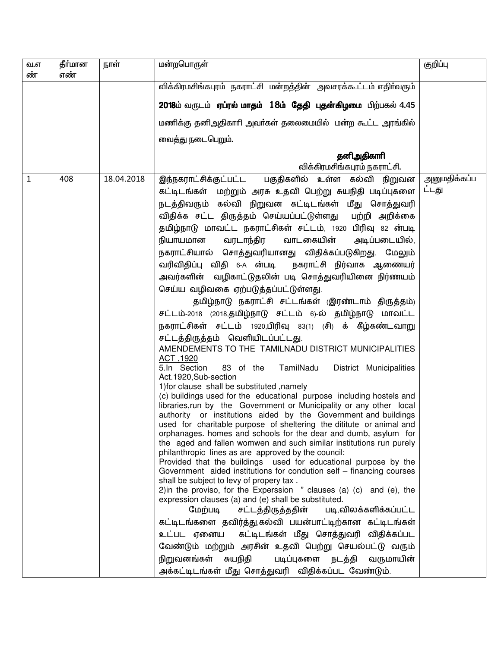| வ.எ<br>ண் | தீர்மான<br>எண் | நாள்       | மன்றபொருள்                                                                                                                                                                                                                                                                                                                                                                                                                                                                                                                                                                                                                                                                                                                                                                                                                                                                                                                                                                                                                                                                                                                                                                                                                                                                                                                                                                                                                                                                                                                                                                                                                                                                                                                                                                                                                                                                                                                                                                                                                                                                                                              | குறிப்பு              |
|-----------|----------------|------------|-------------------------------------------------------------------------------------------------------------------------------------------------------------------------------------------------------------------------------------------------------------------------------------------------------------------------------------------------------------------------------------------------------------------------------------------------------------------------------------------------------------------------------------------------------------------------------------------------------------------------------------------------------------------------------------------------------------------------------------------------------------------------------------------------------------------------------------------------------------------------------------------------------------------------------------------------------------------------------------------------------------------------------------------------------------------------------------------------------------------------------------------------------------------------------------------------------------------------------------------------------------------------------------------------------------------------------------------------------------------------------------------------------------------------------------------------------------------------------------------------------------------------------------------------------------------------------------------------------------------------------------------------------------------------------------------------------------------------------------------------------------------------------------------------------------------------------------------------------------------------------------------------------------------------------------------------------------------------------------------------------------------------------------------------------------------------------------------------------------------------|-----------------------|
|           |                |            | விக்கிரமசிங்கபுரம் நகராட்சி மன்றத்தின் அவசரக்கூட்டம் எதிர்வரும்                                                                                                                                                                                                                                                                                                                                                                                                                                                                                                                                                                                                                                                                                                                                                                                                                                                                                                                                                                                                                                                                                                                                                                                                                                                                                                                                                                                                                                                                                                                                                                                                                                                                                                                                                                                                                                                                                                                                                                                                                                                         |                       |
|           |                |            | 2018ம் வருடம் <b>ஏப்ரல் மாதம் 18ம் தேதி புதன்கிழமை</b> பிற்பகல் 4.45                                                                                                                                                                                                                                                                                                                                                                                                                                                                                                                                                                                                                                                                                                                                                                                                                                                                                                                                                                                                                                                                                                                                                                                                                                                                                                                                                                                                                                                                                                                                                                                                                                                                                                                                                                                                                                                                                                                                                                                                                                                    |                       |
|           |                |            | மணிக்கு தனிஅதிகாரி அவர்கள் தலைமையில் மன்ற கூட்ட அரங்கில்                                                                                                                                                                                                                                                                                                                                                                                                                                                                                                                                                                                                                                                                                                                                                                                                                                                                                                                                                                                                                                                                                                                                                                                                                                                                                                                                                                                                                                                                                                                                                                                                                                                                                                                                                                                                                                                                                                                                                                                                                                                                |                       |
|           |                |            | வைத்து நடைபெறும்.                                                                                                                                                                                                                                                                                                                                                                                                                                                                                                                                                                                                                                                                                                                                                                                                                                                                                                                                                                                                                                                                                                                                                                                                                                                                                                                                                                                                                                                                                                                                                                                                                                                                                                                                                                                                                                                                                                                                                                                                                                                                                                       |                       |
|           |                |            | தனிஅதிகாரி<br>விக்கிரமசிங்கபுரம் நகராட்சி.                                                                                                                                                                                                                                                                                                                                                                                                                                                                                                                                                                                                                                                                                                                                                                                                                                                                                                                                                                                                                                                                                                                                                                                                                                                                                                                                                                                                                                                                                                                                                                                                                                                                                                                                                                                                                                                                                                                                                                                                                                                                              |                       |
| 1         | 408            | 18.04.2018 | இந்நகராட்சிக்குட்பட்ட பகுதிகளில் உள்ள கல்வி நிறுவன<br>கட்டிடங்கள் மற்றும் அரசு உதவி பெற்று சுயநிதி படிப்புகளை<br>நடத்திவரும் கல்வி நிறுவன கட்டிடங்கள் மீது சொத்துவரி<br>விதிக்க சட்ட திருத்தம் செய்யப்பட்டுள்ளது பற்றி அறிக்கை<br>தமிழ்நாடு மாவட்ட நகராட்சிகள் சட்டம், 1920 பிரிவு 82 ன்படி<br>நியாயமான<br>வரடாந்திர<br>வாடகையின்<br>அடிப்படையில்,<br>நகராட்சியால் சொத்துவரியானது விதிக்கப்படுகிறது. மேலும்<br>வரிவிதிப்பு விதி 6-A ன்படி நகராட்சி நிர்வாக ஆணையர்<br>அவர்களின் வழிகாட்டுதலின் படி சொத்துவரியினை நிர்ணயம்<br>செய்ய வழிவகை ஏற்படுத்தப்பட்டுள்ளது.<br>தமிழ்நாடு நகராட்சி சட்டங்கள் (இரண்டாம் திருத்தம்)<br>சட்டம்-2018 (2018,தமிழ்நாடு சட்டம் 6)-ல் தமிழ்நாடு மாவட்ட<br>நகராட்சிகள் சட்டம் 1920,பிரிவு 83(1) (சி) க் கீழ்கண்டவாறு<br>சட்டத்திருத்தம் வெளியிடப்பட்டது.<br>AMENDEMENTS TO THE TAMILNADU DISTRICT MUNICIPALITIES<br>ACT, 1920<br>83 of the TamilNadu<br>District Municipalities<br>5.In Section<br>Act.1920, Sub-section<br>1) for clause shall be substituted , namely<br>(c) buildings used for the educational purpose including hostels and<br>libraries, run by the Government or Municipality or any other local<br>authority or institutions aided by the Government and buildings<br>used for charitable purpose of sheltering the dititute or animal and<br>orphanages. homes and schools for the dear and dumb, asylum for<br>the aged and fallen womwen and such similar institutions run purely<br>philanthropic lines as are approved by the council:<br>Provided that the buildings used for educational purpose by the<br>Government aided institutions for condution self – financing courses<br>shall be subject to levy of propery tax.<br>2) in the proviso, for the Experssion $\overline{a}$ clauses (a) (c) and (e), the<br>expression clauses (a) and (e) shall be substituted.<br>மேற்படி<br>சட்டத்திருத்ததின்<br>படி,விலக்களிக்கப்பட்ட<br>கட்டிடங்களை தவிர்த்து,கல்வி பயன்பாட்டிற்கான கட்டிடங்கள்<br>உட்பட ஏனைய கட்டிடங்கள் மீது சொத்துவரி விதிக்கப்பட<br>வேண்டும் மற்றும் அரசின் உதவி பெற்று செயல்பட்டு வரும்<br>நிறுவனங்கள் சுயநிதி<br>படிப்புகளை நடத்தி வருமாயின் | அனுமதிக்கப்ப<br>ட்டது |
|           |                |            | அக்கட்டிடங்கள் மீது சொத்துவரி விதிக்கப்பட வேண்டும்.                                                                                                                                                                                                                                                                                                                                                                                                                                                                                                                                                                                                                                                                                                                                                                                                                                                                                                                                                                                                                                                                                                                                                                                                                                                                                                                                                                                                                                                                                                                                                                                                                                                                                                                                                                                                                                                                                                                                                                                                                                                                     |                       |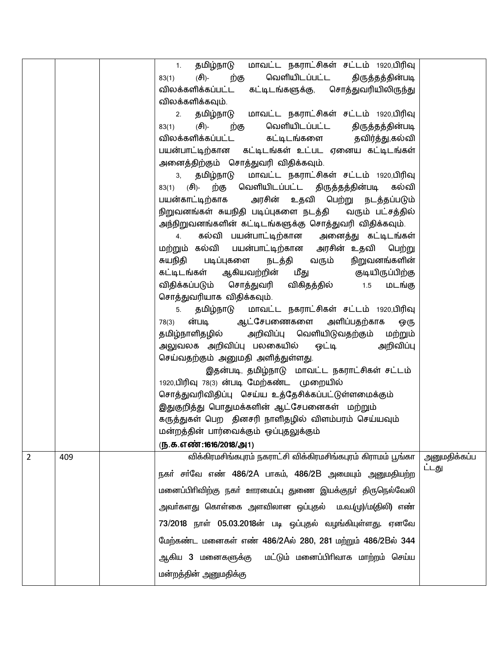|   |     | தமிழ்நாடு மாவட்ட நகராட்சிகள் சட்டம் 1920,பிரிவு<br>1.<br>வெளியிடப்பட்ட திருத்தத்தின்படி<br>(சி)-<br>ற்கு<br>83(1) |              |
|---|-----|-------------------------------------------------------------------------------------------------------------------|--------------|
|   |     | விலக்களிக்கப்பட்ட கட்டிடங்களுக்கு, சொத்துவரியிலிருந்து                                                            |              |
|   |     | விலக்களிக்கவும்.                                                                                                  |              |
|   |     | தமிழ்நாடு மாவட்ட நகராட்சிகள் சட்டம் 1920,பிரிவு<br>2.                                                             |              |
|   |     | வெளியிடப்பட்ட திருத்தத்தின்படி<br>(சி)-<br>83(1)<br>ற்கு                                                          |              |
|   |     | விலக்களிக்கப்பட்ட<br>கட்டிடங்களை தவிர்த்து,கல்வி                                                                  |              |
|   |     | பயன்பாட்டிற்கான கட்டிடங்கள் உட்பட ஏனைய கட்டிடங்கள்                                                                |              |
|   |     | அனைத்திற்கும் சொத்துவரி விதிக்கவும்.                                                                              |              |
|   |     | தமிழ்நாடு மாவட்ட நகராட்சிகள் சட்டம் 1920,பிரிவு<br>3,                                                             |              |
|   |     | ற்கு வெளியிடப்பட்ட திருத்தத்தின்படி கல்வி<br>83(1) $(f\bar{f})$ -                                                 |              |
|   |     | பயன்காட்டிற்காக அரசின் உதவி பெற்று நடத்தப்படும்                                                                   |              |
|   |     | நிறுவனங்கள் சுயநிதி படிப்புகளை நடத்தி வரும் பட்சத்தில்                                                            |              |
|   |     | அந்நிறுவனங்களின் கட்டிடங்களுக்கு சொத்துவரி விதிக்கவும்.                                                           |              |
|   |     | கல்வி பயன்பாட்டிற்கான அனைத்து கட்டிடங்கள்<br>4.                                                                   |              |
|   |     | மற்றும் கல்வி பயன்பாட்டிற்கான அரசின் உதவி பெற்று                                                                  |              |
|   |     | நடத்தி வரும்<br>சுயநிதி படிப்புகளை<br>நிறுவனங்களின்                                                               |              |
|   |     | கட்டிடங்கள் ஆகியவற்றின் மீது   குடியிருப்பிற்கு                                                                   |              |
|   |     | விதிக்கப்படும் சொத்துவரி விகிதத்தில்  1.5<br>மடங்கு                                                               |              |
|   |     | சொத்துவரியாக விதிக்கவும்.                                                                                         |              |
|   |     | தமிழ்நாடு மாவட்ட நகராட்சிகள் சட்டம் 1920,பிரிவு<br>5.                                                             |              |
|   |     | ன்படி ஆட்சேபணைகளை அளிப்பதற்காக<br>78(3)<br>ஒரு                                                                    |              |
|   |     | தமிழ்நாளிதழில் அறிவிப்பு வெளியிடுவதற்கும் மற்றும்                                                                 |              |
|   |     | அலுவலக அறிவிப்பு பலகையில் ஒட்டி   அறிவிப்பு                                                                       |              |
|   |     | செய்வதற்கும் அனுமதி அளித்துள்ளது.                                                                                 |              |
|   |     | இதன்படி, தமிழ்நாடு மாவட்ட நகராட்சிகள் சட்டம்                                                                      |              |
|   |     | 1920,பிரிவு 78(3) ன்படி மேற்கண்ட முறையில்                                                                         |              |
|   |     | சொத்துவரிவிதிப்பு செய்ய உத்தேசிக்கப்பட்டுள்ளமைக்கும்                                                              |              |
|   |     | இதுகுறித்து பொதுமக்களின் ஆட்சேபனைகள் மற்றும்                                                                      |              |
|   |     | கருத்துகள் பெற தினசரி நாளிதழில் விளம்பரம் செய்யவும்                                                               |              |
|   |     | மன்றத்தின் பார்வைக்கும் ஒப்புதலுக்கும்                                                                            |              |
|   |     | (ந.க.எண்:1616/2018/அ1)                                                                                            |              |
| 2 | 409 | விக்கிரமசிங்கபுரம் நகராட்சி விக்கிரமசிங்கபுரம் கிராமம் பூங்கா                                                     | அனுமதிக்கப்ப |
|   |     | நகா் சா்வே எண் 486/2A பாகம், 486/2B அமையும் அனுமதியற்ற                                                            | ட்டது        |
|   |     | மனைப்பிரிவிற்கு நகர் ஊரமைப்பு துணை இயக்குநர் திருநெல்வேலி                                                         |              |
|   |     | அவா்களது கொள்கை அளவிலான ஒப்புதல்  ம.வ.(மு)/ம(திலி) எண்                                                            |              |
|   |     | 73/2018 நாள் 05.03.2018ன் படி ஒப்புதல் வழங்கியுள்ளது. ஏனவே                                                        |              |
|   |     | மேற்கண்ட மனைகள் எண் 486/2Aல் 280, 281 மற்றும் 486/2Bல் 344                                                        |              |
|   |     | ஆகிய 3 மனைகளுக்கு மட்டும் மனைப்பிரிவாக மாற்றம் செய்ய                                                              |              |
|   |     | மன்றத்தின் அனுமதிக்கு                                                                                             |              |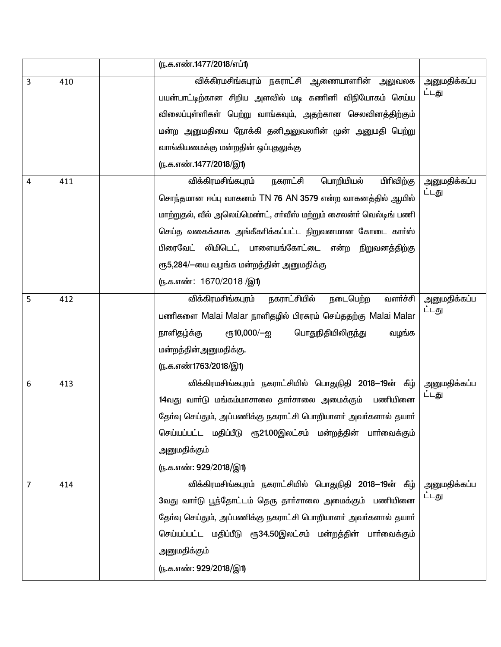|   |     | (ந.க.எண்.1477/2018/எப்1)                                          |                       |
|---|-----|-------------------------------------------------------------------|-----------------------|
| 3 | 410 | <mark>விக்கிரமசிங்கபுரம் நகராட்சி ஆணையாளரின் அலு</mark> வலக       | அனுமதிக்கப்ப<br>ட்டது |
|   |     | பயன்பாட்டிற்கான சிறிய அளவில் மடி கணினி விநியோகம் செய்ய            |                       |
|   |     | விலைப்புள்ளிகள் பெற்று வாங்கவும், அதற்கான செலவினத்திற்கும்        |                       |
|   |     | மன்ற அனுமதியை நோக்கி தனிஅலுவலாின் முன் அனுமதி பெற்று              |                       |
|   |     | வாங்கியமைக்கு மன்றதின் ஒப்புதலுக்கு                               |                       |
|   |     | ரு.க.எண்.1477/2018/இ1)                                            |                       |
| 4 | 411 | விக்கிரமசிங்கபுரம்<br>நகராட்சி<br>பொறியியல்<br>பிரிவிற்கு         | அனுமதிக்கப்ப          |
|   |     | சொந்தமான ஈப்பு வாகனம் TN 76 AN 3579 என்ற வாகனத்தில் ஆயில்         | ட்டது                 |
|   |     | மாற்றுதல், வீல் அலெய்மெண்ட், சா்வீஸ் மற்றும் சைலன்ா் வெல்டிங் பணி |                       |
|   |     | செய்த வகைக்காக அங்கீகாிக்கப்பட்ட நிறுவனமான கோடை காா்ஸ்            |                       |
|   |     | பிரைவேட் லிமிடெட், பாளையங்கோட்டை என்ற நிறுவனத்திற்கு              |                       |
|   |     | ரூ5,284/-யை வழங்க மன்றத்தின் அனுமதிக்கு                           |                       |
|   |     | (ந.க.எண்: 1670/2018 /இ1)                                          |                       |
| 5 | 412 | நகராட்சியில்<br>வளர்ச்சி<br>விக்கிரமசிங்கபுரம்<br>நடைபெற்ற        | அனுமதிக்கப்ப          |
|   |     | பணிகளை Malai Malar நாளிதழில் பிரசுரம் செய்ததற்கு Malai Malar      | ட்டது                 |
|   |     | நாளிதழ்க்கு<br>ரூ10,000/—ஐ<br>பொதுநிதியிலிருந்து<br>வழங்க         |                       |
|   |     | மன்றத்தின்அனுமதிக்கு.                                             |                       |
|   |     | ரு.க.எண்1763/2018/இ1)                                             |                       |
| 6 | 413 | விக்கிரமசிங்கபுரம் நகராட்சியில் பொதுநிதி 2018—19ன் கீழ்           | அனுமதிக்கப்ப          |
|   |     | 14வது வாா்டு மங்கம்மாசாலை தாா்சாலை அமைக்கும் பணியினை              | ட்டது                 |
|   |     | தேர்வு செய்தும், அப்பணிக்கு நகராட்சி பொறியாளர் அவர்களால் தயார்    |                       |
|   |     | செய்யப்பட்ட மதிப்பீடு ரூ21.00இலட்சம் மன்றத்தின் பாா்வைக்கும்      |                       |
|   |     | அனுமதிக்கும்                                                      |                       |
|   |     | (ந.க.எண்: 929/2018/இ1)                                            |                       |
| 7 | 414 | விக்கிரமசிங்கபுரம் நகராட்சியில் பொதுநிதி 2018—19ன் கீழ்           | அனுமதிக்கப்ப          |
|   |     | 3வது வாா்டு பூந்தோட்டம் தெரு தாா்சாலை அமைக்கும் பணியினை           | ட்டது                 |
|   |     | தேர்வு செய்தும், அப்பணிக்கு நகராட்சி பொறியாளர் அவர்களால் தயார்    |                       |
|   |     | செய்யப்பட்ட மதிப்பீடு ரூ34.50இலட்சம் மன்றத்தின் பாா்வைக்கும்      |                       |
|   |     | அனுமதிக்கும்                                                      |                       |
|   |     | (ந.க.எண்: 929/2018/இ1)                                            |                       |
|   |     |                                                                   |                       |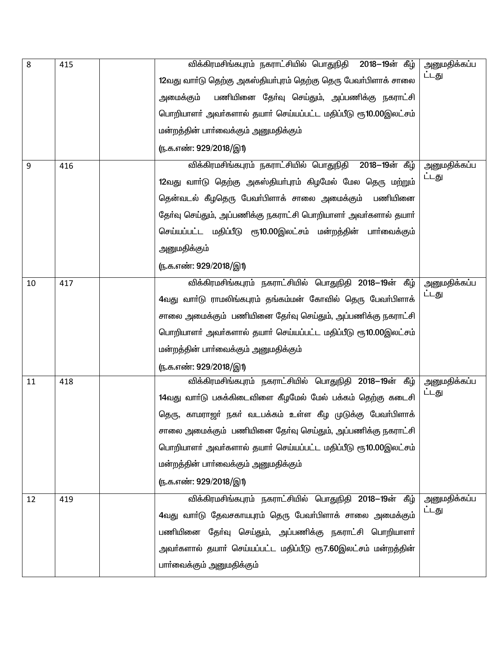| 8  | 415 | விக்கிரமசிங்கபுரம் நகராட்சியில் பொதுநிதி 2018-19ன் கீழ்         | அனுமதிக்கப்ப |
|----|-----|-----------------------------------------------------------------|--------------|
|    |     | 12வது வார்டு தெற்கு அகஸ்தியர்புரம் தெற்கு தெரு பேவர்பிளாக் சாலை | ட்டது        |
|    |     | பணியினை தேர்வு செய்தும், அப்பணிக்கு நகராட்சி<br>அமைக்கும்       |              |
|    |     | பொறியாளர் அவர்களால் தயார் செய்யப்பட்ட மதிப்பீடு ரூ10.00இலட்சம்  |              |
|    |     | மன்றத்தின் பாா்வைக்கும் அனுமதிக்கும்                            |              |
|    |     | (ந.க.எண்: 929/2018/இ1)                                          |              |
| 9  | 416 | விக்கிரமசிங்கபுரம் நகராட்சியில் பொதுநிதி 2018—19ன் கீழ்         | அனுமதிக்கப்ப |
|    |     | 12வது வாா்டு தெற்கு அகஸ்தியா்புரம் கிழமேல் மேல தெரு மற்றும்     | ட்டது        |
|    |     | தென்வடல் கீழதெரு பேவா்பிளாக் சாலை அமைக்கும் பணியினை             |              |
|    |     | தேர்வு செய்தும், அப்பணிக்கு நகராட்சி பொறியாளர் அவர்களால் தயார்  |              |
|    |     | செய்யப்பட்ட மதிப்பீடு ரூ10.00இலட்சம் மன்றத்தின் பாா்வைக்கும்    |              |
|    |     | அனுமதிக்கும்                                                    |              |
|    |     | (ந.க.எண்: 929/2018/இ1)                                          |              |
| 10 | 417 | விக்கிரமசிங்கபுரம் நகராட்சியில் பொதுநிதி 2018—19ன் கீழ்         | அனுமதிக்கப்ப |
|    |     | 4வது வாா்டு ராமலிங்கபுரம் தங்கம்மன் கோவில் தெரு பேவா்பிளாக்     | ட்டது        |
|    |     | சாலை அமைக்கும் பணியினை தேர்வு செய்தும், அப்பணிக்கு நகராட்சி     |              |
|    |     | பொறியாளா் அவா்களால் தயாா் செய்யப்பட்ட மதிப்பீடு ரூ10.00இலட்சம்  |              |
|    |     | மன்றத்தின் பாா்வைக்கும் அனுமதிக்கும்                            |              |
|    |     | <u>ரு.க.எண்: 929/2018/இ1)</u>                                   |              |
| 11 | 418 | விக்கிரமசிங்கபுரம் நகராட்சியில் பொதுநிதி 2018—19ன் கீழ்         | அனுமதிக்கப்ப |
|    |     | 14வது வார்டு பசுக்கிடைவிளை கீழமேல் மேல் பக்கம் தெற்கு கடைசி     | ட்டது        |
|    |     | தெரு, காமராஜா் நகா் வடபக்கம் உள்ள கீழ முடுக்கு பேவா்பிளாக்      |              |
|    |     | சாலை அமைக்கும் பணியினை தேர்வு செய்தும், அப்பணிக்கு நகராட்சி     |              |
|    |     | பொறியாளர் அவர்களால் தயார் செய்யப்பட்ட மதிப்பீடு ரூ10.00இலட்சம்  |              |
|    |     | மன்றத்தின் பாா்வைக்கும் அனுமதிக்கும்                            |              |
|    |     | ரு.க.எண்: 929/2018/இ1)                                          |              |
| 12 | 419 | விக்கிரமசிங்கபுரம் நகராட்சியில் பொதுநிதி 2018—19ன் கீழ்         | அனுமதிக்கப்ப |
|    |     | 4வது வாா்டு தேவசகாயபுரம் தெரு பேவா்பிளாக் சாலை அமைக்கும்        | ட்டது        |
|    |     | பணியினை தோ்வு செய்தும், அப்பணிக்கு நகராட்சி பொறியாளா்           |              |
|    |     | அவா்களால் தயாா் செய்யப்பட்ட மதிப்பீடு ரூ7.60இலட்சம் மன்றத்தின்  |              |
|    |     | பாா்வைக்கும் அனுமதிக்கும்                                       |              |